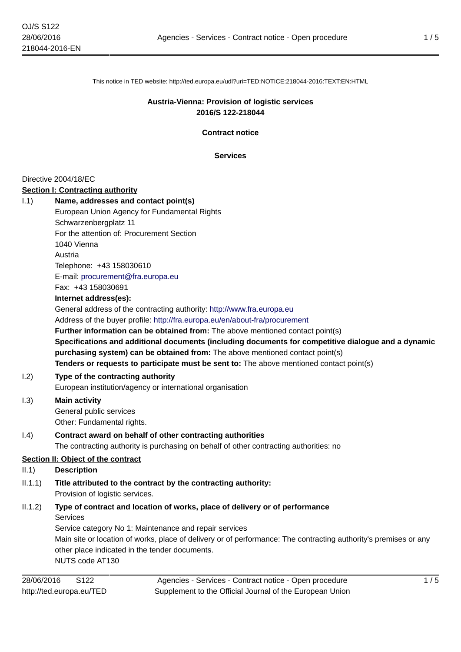This notice in TED website: http://ted.europa.eu/udl?uri=TED:NOTICE:218044-2016:TEXT:EN:HTML

## **Austria-Vienna: Provision of logistic services 2016/S 122-218044**

**Contract notice**

**Services**

#### Directive 2004/18/EC

#### **Section I: Contracting authority**

| 1.1)    | Name, addresses and contact point(s)                                                                             |
|---------|------------------------------------------------------------------------------------------------------------------|
|         | European Union Agency for Fundamental Rights                                                                     |
|         | Schwarzenbergplatz 11                                                                                            |
|         | For the attention of: Procurement Section                                                                        |
|         | 1040 Vienna                                                                                                      |
|         | Austria                                                                                                          |
|         | Telephone: +43 158030610                                                                                         |
|         | E-mail: procurement@fra.europa.eu                                                                                |
|         | Fax: +43 158030691                                                                                               |
|         | Internet address(es):                                                                                            |
|         | General address of the contracting authority: http://www.fra.europa.eu                                           |
|         | Address of the buyer profile: http://fra.europa.eu/en/about-fra/procurement                                      |
|         | Further information can be obtained from: The above mentioned contact point(s)                                   |
|         | Specifications and additional documents (including documents for competitive dialogue and a dynamic              |
|         | purchasing system) can be obtained from: The above mentioned contact point(s)                                    |
|         | Tenders or requests to participate must be sent to: The above mentioned contact point(s)                         |
| 1.2)    | Type of the contracting authority                                                                                |
|         | European institution/agency or international organisation                                                        |
| 1.3)    | <b>Main activity</b>                                                                                             |
|         | General public services                                                                                          |
|         | Other: Fundamental rights.                                                                                       |
| 1.4)    | Contract award on behalf of other contracting authorities                                                        |
|         | The contracting authority is purchasing on behalf of other contracting authorities: no                           |
|         | <b>Section II: Object of the contract</b>                                                                        |
| II.1)   | <b>Description</b>                                                                                               |
| II.1.1) | Title attributed to the contract by the contracting authority:<br>Provision of logistic services.                |
| II.1.2) | Type of contract and location of works, place of delivery or of performance                                      |
|         | <b>Services</b>                                                                                                  |
|         | Service category No 1: Maintenance and repair services                                                           |
|         | Main site or location of works, place of delivery or of performance: The contracting authority's premises or any |
|         | other place indicated in the tender documents.                                                                   |
|         | NUTS code AT130                                                                                                  |
|         |                                                                                                                  |

Agencies - Services - Contract notice - Open procedure Supplement to the Official Journal of the European Union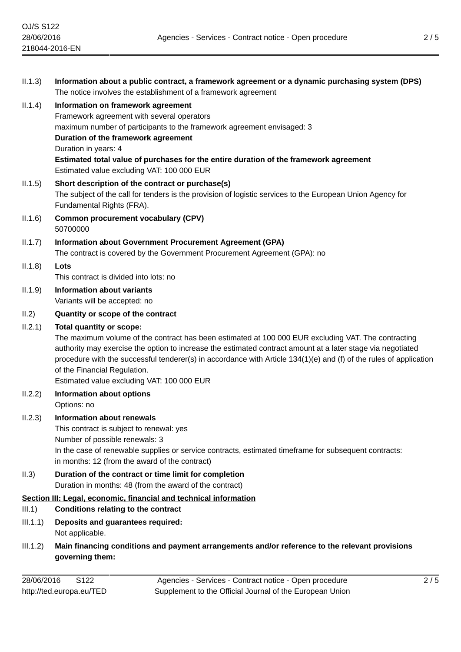| II.1.3)  | Information about a public contract, a framework agreement or a dynamic purchasing system (DPS)                                                                                                                                                                   |
|----------|-------------------------------------------------------------------------------------------------------------------------------------------------------------------------------------------------------------------------------------------------------------------|
| II.1.4)  | The notice involves the establishment of a framework agreement<br>Information on framework agreement                                                                                                                                                              |
|          | Framework agreement with several operators                                                                                                                                                                                                                        |
|          | maximum number of participants to the framework agreement envisaged: 3                                                                                                                                                                                            |
|          | Duration of the framework agreement<br>Duration in years: 4                                                                                                                                                                                                       |
|          | Estimated total value of purchases for the entire duration of the framework agreement<br>Estimated value excluding VAT: 100 000 EUR                                                                                                                               |
| II.1.5)  | Short description of the contract or purchase(s)<br>The subject of the call for tenders is the provision of logistic services to the European Union Agency for                                                                                                    |
|          | Fundamental Rights (FRA).                                                                                                                                                                                                                                         |
| II.1.6)  | <b>Common procurement vocabulary (CPV)</b><br>50700000                                                                                                                                                                                                            |
| II.1.7)  | Information about Government Procurement Agreement (GPA)                                                                                                                                                                                                          |
|          | The contract is covered by the Government Procurement Agreement (GPA): no                                                                                                                                                                                         |
| II.1.8)  | Lots                                                                                                                                                                                                                                                              |
|          | This contract is divided into lots: no                                                                                                                                                                                                                            |
| II.1.9)  | <b>Information about variants</b><br>Variants will be accepted: no                                                                                                                                                                                                |
| II.2)    | Quantity or scope of the contract                                                                                                                                                                                                                                 |
| II.2.1)  | <b>Total quantity or scope:</b>                                                                                                                                                                                                                                   |
|          | The maximum volume of the contract has been estimated at 100 000 EUR excluding VAT. The contracting                                                                                                                                                               |
|          | authority may exercise the option to increase the estimated contract amount at a later stage via negotiated<br>procedure with the successful tenderer(s) in accordance with Article 134(1)(e) and (f) of the rules of application<br>of the Financial Regulation. |
|          | Estimated value excluding VAT: 100 000 EUR                                                                                                                                                                                                                        |
| II.2.2)  | <b>Information about options</b>                                                                                                                                                                                                                                  |
|          | Options: no                                                                                                                                                                                                                                                       |
| II.2.3)  | <b>Information about renewals</b>                                                                                                                                                                                                                                 |
|          | This contract is subject to renewal: yes<br>Number of possible renewals: 3                                                                                                                                                                                        |
|          | In the case of renewable supplies or service contracts, estimated timeframe for subsequent contracts:<br>in months: 12 (from the award of the contract)                                                                                                           |
| II.3)    | Duration of the contract or time limit for completion                                                                                                                                                                                                             |
|          | Duration in months: 48 (from the award of the contract)<br>Section III: Legal, economic, financial and technical information                                                                                                                                      |
| III.1)   | <b>Conditions relating to the contract</b>                                                                                                                                                                                                                        |
| III.1.1) | Deposits and guarantees required:<br>Not applicable.                                                                                                                                                                                                              |
| III.1.2) | Main financing conditions and payment arrangements and/or reference to the relevant provisions<br>governing them:                                                                                                                                                 |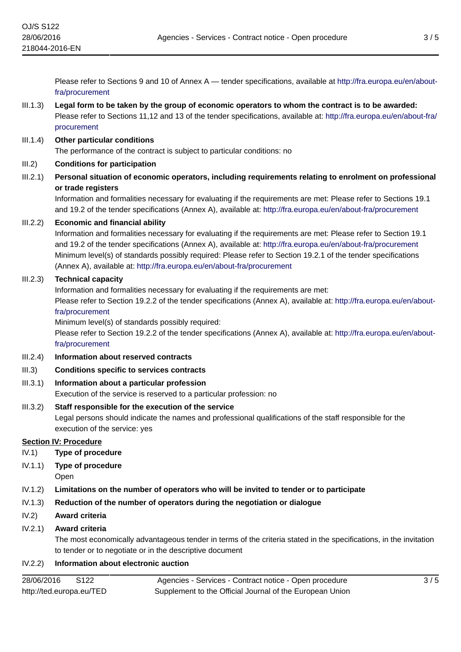Please refer to Sections 9 and 10 of Annex A — tender specifications, available at [http://fra.europa.eu/en/about](http://fra.europa.eu/en/about-fra/procurement)[fra/procurement](http://fra.europa.eu/en/about-fra/procurement)

# III.1.3) **Legal form to be taken by the group of economic operators to whom the contract is to be awarded:** Please refer to Sections 11,12 and 13 of the tender specifications, available at: [http://fra.europa.eu/en/about-fra/](http://fra.europa.eu/en/about-fra/procurement) [procurement](http://fra.europa.eu/en/about-fra/procurement)

#### III.1.4) **Other particular conditions**

The performance of the contract is subject to particular conditions: no

#### III.2) **Conditions for participation**

III.2.1) **Personal situation of economic operators, including requirements relating to enrolment on professional or trade registers**

Information and formalities necessary for evaluating if the requirements are met: Please refer to Sections 19.1 and 19.2 of the tender specifications (Annex A), available at:<http://fra.europa.eu/en/about-fra/procurement>

## III.2.2) **Economic and financial ability**

Information and formalities necessary for evaluating if the requirements are met: Please refer to Section 19.1 and 19.2 of the tender specifications (Annex A), available at:<http://fra.europa.eu/en/about-fra/procurement> Minimum level(s) of standards possibly required: Please refer to Section 19.2.1 of the tender specifications (Annex A), available at: <http://fra.europa.eu/en/about-fra/procurement>

## III.2.3) **Technical capacity**

Information and formalities necessary for evaluating if the requirements are met:

Please refer to Section 19.2.2 of the tender specifications (Annex A), available at: [http://fra.europa.eu/en/about](http://fra.europa.eu/en/about-fra/procurement)[fra/procurement](http://fra.europa.eu/en/about-fra/procurement)

Minimum level(s) of standards possibly required:

Please refer to Section 19.2.2 of the tender specifications (Annex A), available at: [http://fra.europa.eu/en/about](http://fra.europa.eu/en/about-fra/procurement)[fra/procurement](http://fra.europa.eu/en/about-fra/procurement)

#### III.2.4) **Information about reserved contracts**

- III.3) **Conditions specific to services contracts**
- III.3.1) **Information about a particular profession** Execution of the service is reserved to a particular profession: no
- III.3.2) **Staff responsible for the execution of the service** Legal persons should indicate the names and professional qualifications of the staff responsible for the execution of the service: yes

#### **Section IV: Procedure**

- IV.1) **Type of procedure**
- IV.1.1) **Type of procedure**

Open

- IV.1.2) **Limitations on the number of operators who will be invited to tender or to participate**
- IV.1.3) **Reduction of the number of operators during the negotiation or dialogue**

#### IV.2) **Award criteria**

#### IV.2.1) **Award criteria**

The most economically advantageous tender in terms of the criteria stated in the specifications, in the invitation to tender or to negotiate or in the descriptive document

#### IV.2.2) **Information about electronic auction**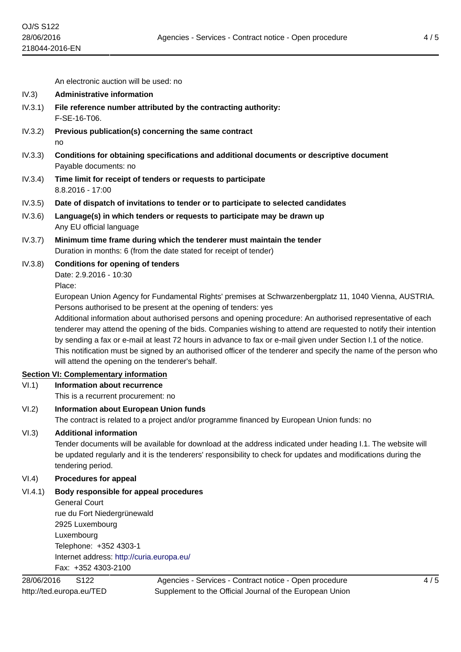An electronic auction will be used: no

- IV.3) **Administrative information**
- IV.3.1) **File reference number attributed by the contracting authority:** F-SE-16-T06.
- IV.3.2) **Previous publication(s) concerning the same contract** no
- IV.3.3) **Conditions for obtaining specifications and additional documents or descriptive document** Payable documents: no
- IV.3.4) **Time limit for receipt of tenders or requests to participate** 8.8.2016 - 17:00
- IV.3.5) **Date of dispatch of invitations to tender or to participate to selected candidates**
- IV.3.6) **Language(s) in which tenders or requests to participate may be drawn up** Any EU official language
- IV.3.7) **Minimum time frame during which the tenderer must maintain the tender** Duration in months: 6 (from the date stated for receipt of tender)
- IV.3.8) **Conditions for opening of tenders**

Date: 2.9.2016 - 10:30 Place:

European Union Agency for Fundamental Rights' premises at Schwarzenbergplatz 11, 1040 Vienna, AUSTRIA. Persons authorised to be present at the opening of tenders: yes

Additional information about authorised persons and opening procedure: An authorised representative of each tenderer may attend the opening of the bids. Companies wishing to attend are requested to notify their intention by sending a fax or e-mail at least 72 hours in advance to fax or e-mail given under Section I.1 of the notice. This notification must be signed by an authorised officer of the tenderer and specify the name of the person who will attend the opening on the tenderer's behalf.

## **Section VI: Complementary information**

VI.1) **Information about recurrence**

This is a recurrent procurement: no

VI.2) **Information about European Union funds** The contract is related to a project and/or programme financed by European Union funds: no

## VI.3) **Additional information**

Tender documents will be available for download at the address indicated under heading I.1. The website will be updated regularly and it is the tenderers' responsibility to check for updates and modifications during the tendering period.

## VI.4) **Procedures for appeal**

VI.4.1) **Body responsible for appeal procedures**

General Court rue du Fort Niedergrünewald 2925 Luxembourg Luxembourg Telephone: +352 4303-1 Internet address: <http://curia.europa.eu/> Fax: +352 4303-2100